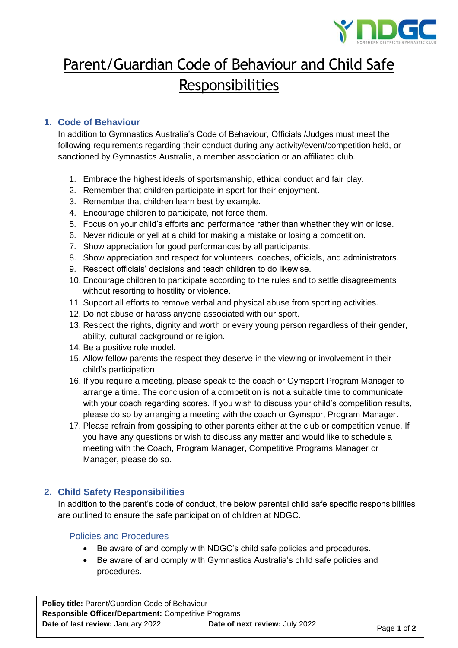

# Parent/Guardian Code of Behaviour and Child Safe **Responsibilities**

# **1. Code of Behaviour**

In addition to Gymnastics Australia's Code of Behaviour, Officials /Judges must meet the following requirements regarding their conduct during any activity/event/competition held, or sanctioned by Gymnastics Australia, a member association or an affiliated club.

- 1. Embrace the highest ideals of sportsmanship, ethical conduct and fair play.
- 2. Remember that children participate in sport for their enjoyment.
- 3. Remember that children learn best by example.
- 4. Encourage children to participate, not force them.
- 5. Focus on your child's efforts and performance rather than whether they win or lose.
- 6. Never ridicule or yell at a child for making a mistake or losing a competition.
- 7. Show appreciation for good performances by all participants.
- 8. Show appreciation and respect for volunteers, coaches, officials, and administrators.
- 9. Respect officials' decisions and teach children to do likewise.
- 10. Encourage children to participate according to the rules and to settle disagreements without resorting to hostility or violence.
- 11. Support all efforts to remove verbal and physical abuse from sporting activities.
- 12. Do not abuse or harass anyone associated with our sport.
- 13. Respect the rights, dignity and worth or every young person regardless of their gender, ability, cultural background or religion.
- 14. Be a positive role model.
- 15. Allow fellow parents the respect they deserve in the viewing or involvement in their child's participation.
- 16. If you require a meeting, please speak to the coach or Gymsport Program Manager to arrange a time. The conclusion of a competition is not a suitable time to communicate with your coach regarding scores. If you wish to discuss your child's competition results, please do so by arranging a meeting with the coach or Gymsport Program Manager.
- 17. Please refrain from gossiping to other parents either at the club or competition venue. If you have any questions or wish to discuss any matter and would like to schedule a meeting with the Coach, Program Manager, Competitive Programs Manager or Manager, please do so.

# **2. Child Safety Responsibilities**

In addition to the parent's code of conduct, the below parental child safe specific responsibilities are outlined to ensure the safe participation of children at NDGC.

Policies and Procedures

- Be aware of and comply with NDGC's child safe policies and procedures.
- Be aware of and comply with Gymnastics Australia's child safe policies and procedures.

**Policy title:** Parent/Guardian Code of Behaviour **Responsible Officer/Department:** Competitive Programs **Date of last review:** January 2022 **Date of next review:** July 2022